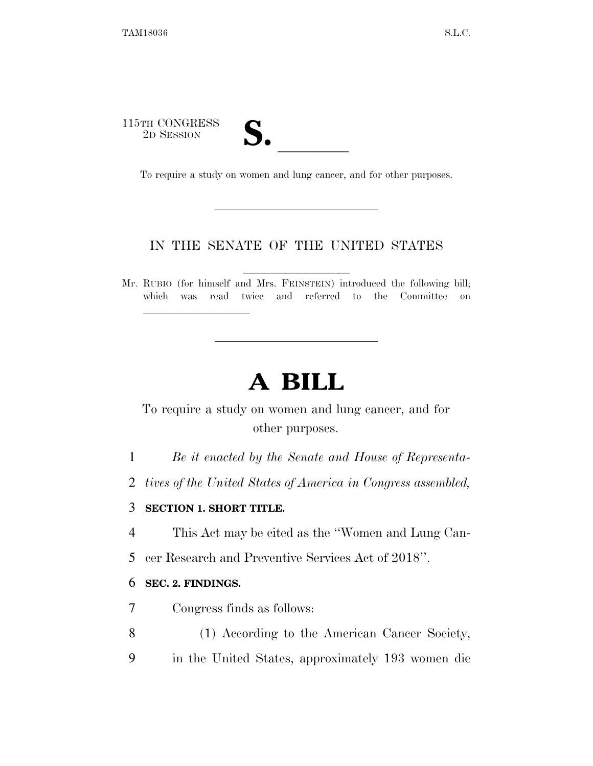115TH CONGRESS TH CONGRESS<br>
2D SESSION<br>
To require a study on women and lung cancer, and for other purposes.

lla se al constituir a la constituir a la constituir a la constituir a la constituir a la constituir a la cons<br>La constituir a la constituir a la constituir a la constituir a la constituir a la constituir a la constituir

## IN THE SENATE OF THE UNITED STATES

Mr. RUBIO (for himself and Mrs. FEINSTEIN) introduced the following bill; which was read twice and referred to the Committee on

# **A BILL**

## To require a study on women and lung cancer, and for other purposes.

- 1 *Be it enacted by the Senate and House of Representa-*
- 2 *tives of the United States of America in Congress assembled,*

### 3 **SECTION 1. SHORT TITLE.**

- 4 This Act may be cited as the ''Women and Lung Can-
- 5 cer Research and Preventive Services Act of 2018''.

#### 6 **SEC. 2. FINDINGS.**

- 7 Congress finds as follows:
- 8 (1) According to the American Cancer Society,
- 9 in the United States, approximately 193 women die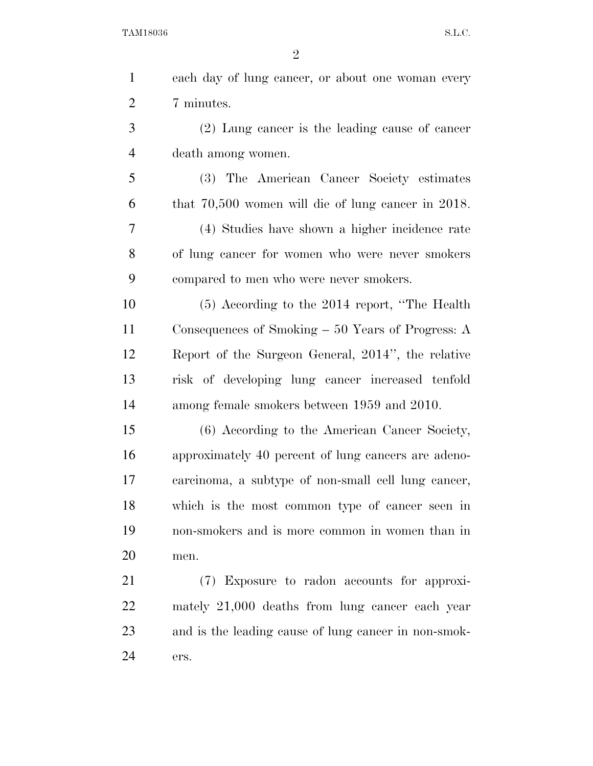TAM18036 S.L.C.

| $\mathbf{1}$   | each day of lung cancer, or about one woman every    |
|----------------|------------------------------------------------------|
| $\overline{2}$ | 7 minutes.                                           |
| 3              | (2) Lung cancer is the leading cause of cancer       |
| $\overline{4}$ | death among women.                                   |
| 5              | (3) The American Cancer Society estimates            |
| 6              | that $70,500$ women will die of lung cancer in 2018. |
| 7              | (4) Studies have shown a higher incidence rate       |
| 8              | of lung cancer for women who were never smokers      |
| 9              | compared to men who were never smokers.              |
| 10             | $(5)$ According to the 2014 report, "The Health"     |
| 11             | Consequences of Smoking $-50$ Years of Progress: A   |
| 12             | Report of the Surgeon General, 2014", the relative   |
| 13             | risk of developing lung cancer increased tenfold     |
| 14             | among female smokers between 1959 and 2010.          |
| 15             | (6) According to the American Cancer Society,        |
| 16             | approximately 40 percent of lung cancers are adeno-  |
| 17             | carcinoma, a subtype of non-small cell lung cancer,  |
| 18             | which is the most common type of cancer seen in      |
| 19             | non-smokers and is more common in women than in      |
| 20             | men.                                                 |
| 21             | (7) Exposure to radon accounts for approxi-          |
| 22             | mately 21,000 deaths from lung cancer each year      |
| 23             | and is the leading cause of lung cancer in non-smok- |
| 24             | ers.                                                 |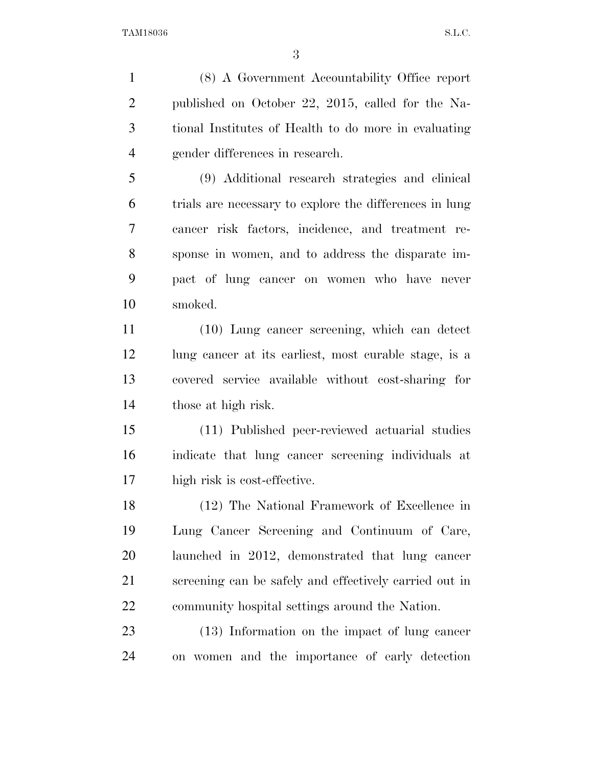(8) A Government Accountability Office report published on October 22, 2015, called for the Na- tional Institutes of Health to do more in evaluating gender differences in research.

 (9) Additional research strategies and clinical trials are necessary to explore the differences in lung cancer risk factors, incidence, and treatment re- sponse in women, and to address the disparate im- pact of lung cancer on women who have never smoked.

 (10) Lung cancer screening, which can detect 12 lung cancer at its earliest, most curable stage, is a covered service available without cost-sharing for those at high risk.

 (11) Published peer-reviewed actuarial studies indicate that lung cancer screening individuals at high risk is cost-effective.

 (12) The National Framework of Excellence in Lung Cancer Screening and Continuum of Care, launched in 2012, demonstrated that lung cancer screening can be safely and effectively carried out in community hospital settings around the Nation.

 (13) Information on the impact of lung cancer on women and the importance of early detection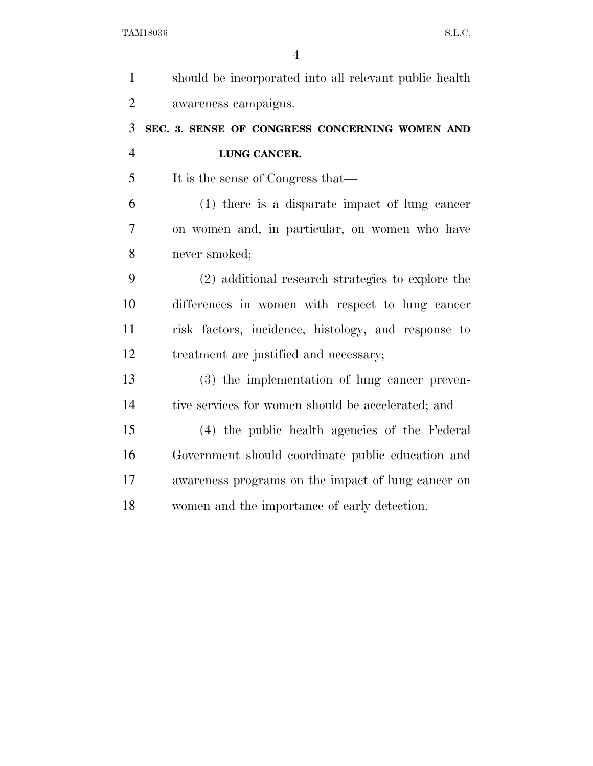| $\mathbf{1}$   | should be incorporated into all relevant public health |
|----------------|--------------------------------------------------------|
| $\overline{2}$ | awareness campaigns.                                   |
| 3              | SEC. 3. SENSE OF CONGRESS CONCERNING WOMEN AND         |
| $\overline{4}$ | LUNG CANCER.                                           |
| 5              | It is the sense of Congress that—                      |
| 6              | $(1)$ there is a disparate impact of lung cancer       |
| 7              | on women and, in particular, on women who have         |
| 8              | never smoked;                                          |
| 9              | (2) additional research strategies to explore the      |
| 10             | differences in women with respect to lung cancer       |
| 11             | risk factors, incidence, histology, and response to    |
| 12             | treatment are justified and necessary;                 |
| 13             | (3) the implementation of lung cancer preven-          |
| 14             | tive services for women should be accelerated; and     |
| 15             | (4) the public health agencies of the Federal          |
| 16             | Government should coordinate public education and      |
| 17             | awareness programs on the impact of lung cancer on     |
| 18             | women and the importance of early detection.           |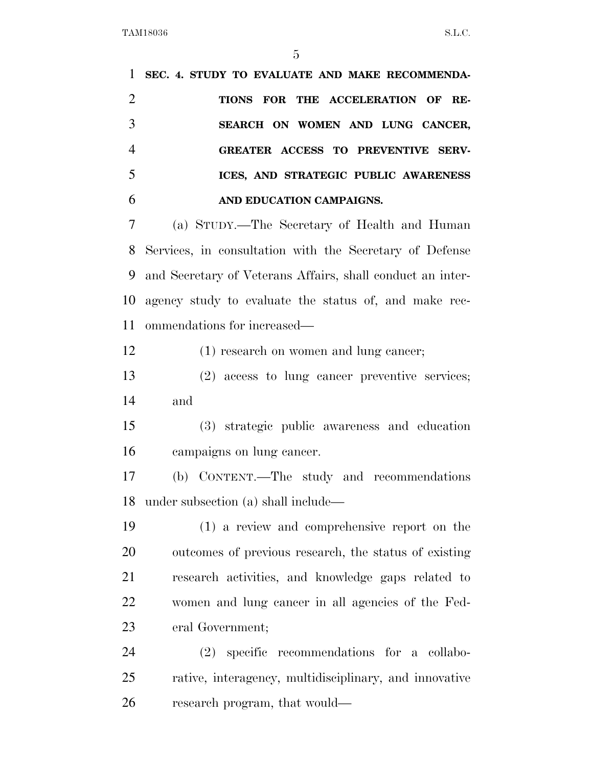**SEC. 4. STUDY TO EVALUATE AND MAKE RECOMMENDA- TIONS FOR THE ACCELERATION OF RE- SEARCH ON WOMEN AND LUNG CANCER, GREATER ACCESS TO PREVENTIVE SERV- ICES, AND STRATEGIC PUBLIC AWARENESS AND EDUCATION CAMPAIGNS.**  (a) STUDY.—The Secretary of Health and Human Services, in consultation with the Secretary of Defense and Secretary of Veterans Affairs, shall conduct an inter- agency study to evaluate the status of, and make rec- ommendations for increased— (1) research on women and lung cancer; (2) access to lung cancer preventive services; and (3) strategic public awareness and education campaigns on lung cancer. (b) CONTENT.—The study and recommendations under subsection (a) shall include— (1) a review and comprehensive report on the outcomes of previous research, the status of existing research activities, and knowledge gaps related to women and lung cancer in all agencies of the Fed- eral Government; (2) specific recommendations for a collabo-rative, interagency, multidisciplinary, and innovative

research program, that would—